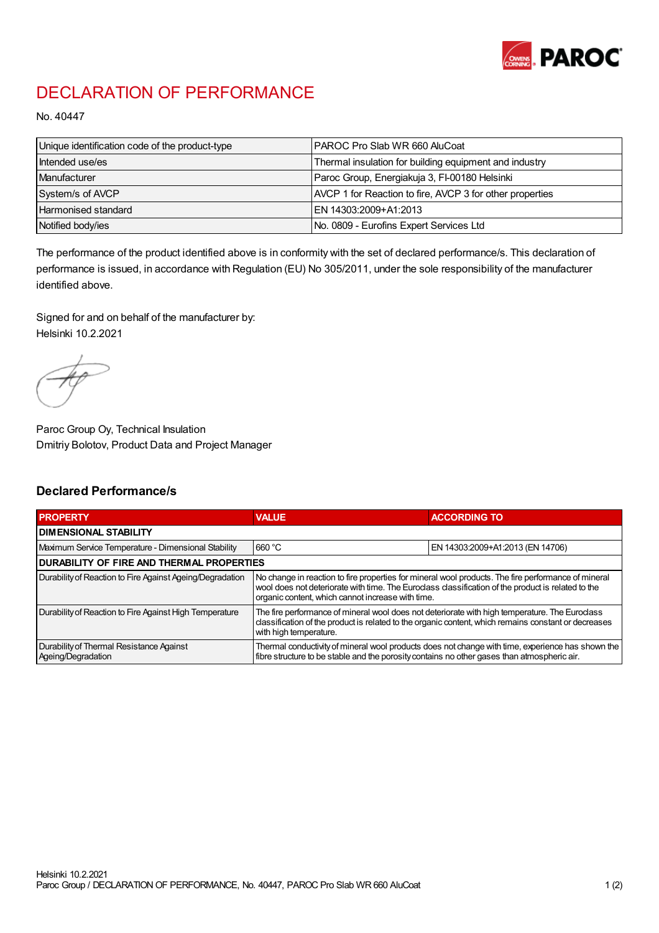

## DECLARATION OF PERFORMANCE

No. 40447

| Unique identification code of the product-type | PAROC Pro Slab WR 660 AluCoat                            |
|------------------------------------------------|----------------------------------------------------------|
| Intended use/es                                | Thermal insulation for building equipment and industry   |
| Manufacturer                                   | Paroc Group, Energiakuja 3, FI-00180 Helsinki            |
| System/s of AVCP                               | AVCP 1 for Reaction to fire, AVCP 3 for other properties |
| Harmonised standard                            | IEN 14303:2009+A1:2013                                   |
| Notified body/ies                              | No. 0809 - Eurofins Expert Services Ltd                  |

The performance of the product identified above is in conformity with the set of declared performance/s. This declaration of performance is issued, in accordance with Regulation (EU) No 305/2011, under the sole responsibility of the manufacturer identified above.

Signed for and on behalf of the manufacturer by: Helsinki 10.2.2021

Paroc Group Oy, Technical Insulation Dmitriy Bolotov, Product Data and Project Manager

## Declared Performance/s

| <b>PROPERTY</b>                                                | <b>VALUE</b>                                                                                                                                                                                                                                                   | <b>ACCORDING TO</b>              |  |
|----------------------------------------------------------------|----------------------------------------------------------------------------------------------------------------------------------------------------------------------------------------------------------------------------------------------------------------|----------------------------------|--|
| <b>DIMENSIONAL STABILITY</b>                                   |                                                                                                                                                                                                                                                                |                                  |  |
| Maximum Service Temperature - Dimensional Stability            | 660 °C                                                                                                                                                                                                                                                         | EN 14303:2009+A1:2013 (EN 14706) |  |
| <b>DURABILITY OF FIRE AND THERMAL PROPERTIES</b>               |                                                                                                                                                                                                                                                                |                                  |  |
| Durability of Reaction to Fire Against Ageing/Degradation      | No change in reaction to fire properties for mineral wool products. The fire performance of mineral<br>wool does not deteriorate with time. The Euroclass classification of the product is related to the<br>organic content, which cannot increase with time. |                                  |  |
| Durability of Reaction to Fire Against High Temperature        | The fire performance of mineral wool does not deteriorate with high temperature. The Euroclass<br>classification of the product is related to the organic content, which remains constant or decreases<br>with high temperature.                               |                                  |  |
| Durability of Thermal Resistance Against<br>Ageing/Degradation | Thermal conductivity of mineral wool products does not change with time, experience has shown the<br>fibre structure to be stable and the porosity contains no other gases than atmospheric air.                                                               |                                  |  |